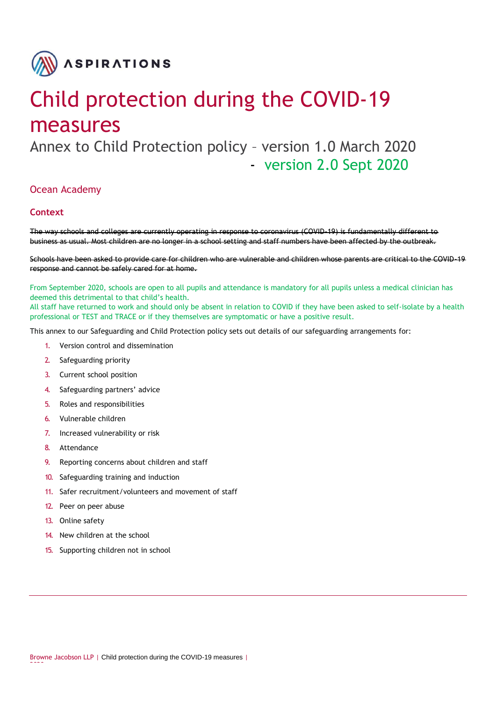

# Child protection during the COVID-19 measures

Annex to Child Protection policy – version 1.0 March 2020 - version 2.0 Sept 2020

## Ocean Academy

## **Context**

The way schools and colleges are currently operating in response to coronavirus (COVID-19) is fundamentally different to business as usual. Most children are no longer in a school setting and staff numbers have been affected by the outbreak.

Schools have been asked to provide care for children who are vulnerable and children whose parents are critical to the COVID-19 response and cannot be safely cared for at home.

From September 2020, schools are open to all pupils and attendance is mandatory for all pupils unless a medical clinician has deemed this detrimental to that child's health.

All staff have returned to work and should only be absent in relation to COVID if they have been asked to self-isolate by a health professional or TEST and TRACE or if they themselves are symptomatic or have a positive result.

This annex to our Safeguarding and Child Protection policy sets out details of our safeguarding arrangements for:

- 1. Version control and dissemination
- 2. Safeguarding priority
- 3. Current school position
- 4. Safeguarding partners' advice
- 5. Roles and responsibilities
- 6. Vulnerable children
- 7. Increased vulnerability or risk
- 8. Attendance
- 9. Reporting concerns about children and staff
- 10. Safeguarding training and induction
- 11. Safer recruitment/volunteers and movement of staff
- 12. Peer on peer abuse
- 13. Online safety

2020

- 14. New children at the school
- 15. Supporting children not in school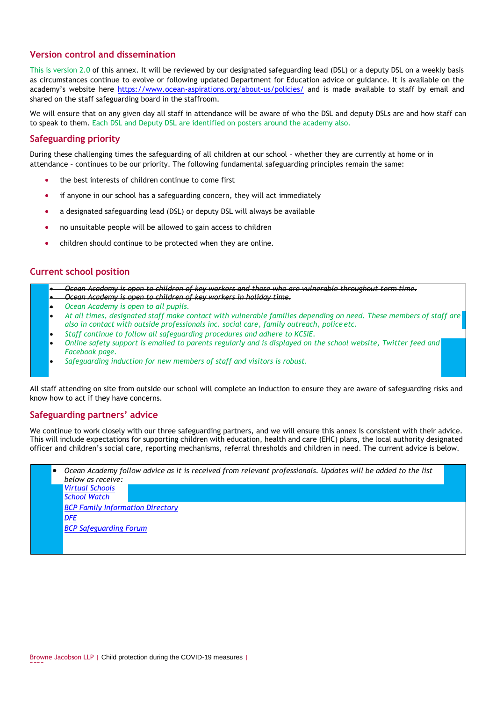## **Version control and dissemination**

This is version 2.0 of this annex. It will be reviewed by our designated safeguarding lead (DSL) or a deputy DSL on a weekly basis as circumstances continue to evolve or following updated Department for Education advice or guidance. It is available on the academy's website here<https://www.ocean-aspirations.org/about-us/policies/> and is made available to staff by email and shared on the staff safeguarding board in the staffroom.

We will ensure that on any given day all staff in attendance will be aware of who the DSL and deputy DSLs are and how staff can to speak to them. Each DSL and Deputy DSL are identified on posters around the academy also.

### **Safeguarding priority**

During these challenging times the safeguarding of all children at our school – whether they are currently at home or in attendance – continues to be our priority. The following fundamental safeguarding principles remain the same:

- the best interests of children continue to come first
- if anyone in our school has a safeguarding concern, they will act immediately
- a designated safeguarding lead (DSL) or deputy DSL will always be available
- no unsuitable people will be allowed to gain access to children
- children should continue to be protected when they are online.

### **Current school position**

- *Ocean Academy is open to children of key workers and those who are vulnerable throughout term time.*
- *Ocean Academy is open to children of key workers in holiday time.*
- *Ocean Academy is open to all pupils.*
- *At all times, designated staff make contact with vulnerable families depending on need. These members of staff are also in contact with outside professionals inc. social care, family outreach, police etc.*
- *Staff continue to follow all safeguarding procedures and adhere to KCSIE.*
- *Online safety support is emailed to parents regularly and is displayed on the school website, Twitter feed and Facebook page.*
- *Safeguarding induction for new members of staff and visitors is robust.*

All staff attending on site from outside our school will complete an induction to ensure they are aware of safeguarding risks and know how to act if they have concerns.

#### **Safeguarding partners' advice**

We continue to work closely with our three safeguarding partners, and we will ensure this annex is consistent with their advice. This will include expectations for supporting children with education, health and care (EHC) plans, the local authority designated officer and children's social care, reporting mechanisms, referral thresholds and children in need. The current advice is below.

| below as receive:<br><b>Virtual Schools</b> |  |
|---------------------------------------------|--|
| School Watch                                |  |
| <b>BCP Family Information Directory</b>     |  |
| <b>DFE</b>                                  |  |
| <b>BCP Safeguarding Forum</b>               |  |

2020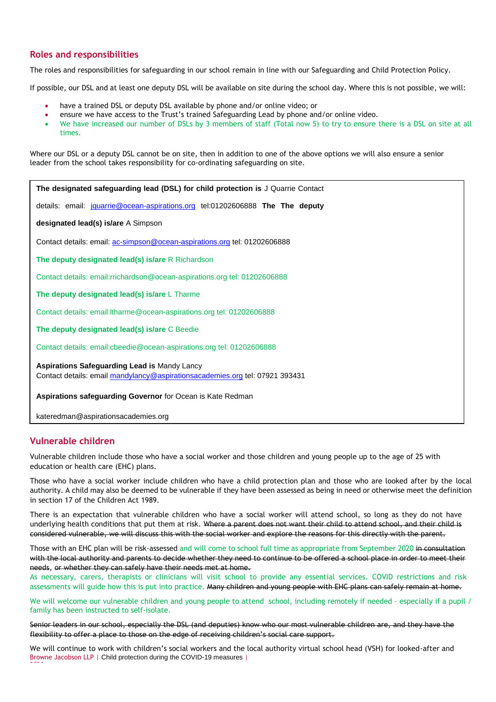## **Roles and responsibilities**

The roles and responsibilities for safeguarding in our school remain in line with our Safeguarding and Child Protection Policy.

If possible, our DSL and at least one deputy DSL will be available on site during the school day. Where this is not possible, we will:

- have a trained DSL or deputy DSL available by phone and/or online video; or
- ensure we have access to the Trust's trained Safeguarding Lead by phone and/or online video.
- We have increased our number of DSLs by 3 members of staff (Total now 5) to try to ensure there is a DSL on site at all times.

Where our DSL or a deputy DSL cannot be on site, then in addition to one of the above options we will also ensure a senior leader from the school takes responsibility for co-ordinating safeguarding on site.

**The designated safeguarding lead (DSL) for child protection is** J Quarrie Contact

details: email: [jquarrie@ocean-aspirations.org](mailto:jquarrie@ocean-aspirations.org) tel:01202606888 **The The deputy** 

**designated lead(s) is/are** A Simpson

Contact details: email[: ac-simpson@ocean-aspirations.org](mailto:ac-simpson@ocean-aspirations.org) tel: 01202606888

**The deputy designated lead(s) is/are** R Richardson

Contact details: [email:rrichardson@ocean-aspirations.org](mailto:rrichardson@ocean-aspirations.org) tel: 01202606888

**The deputy designated lead(s) is/are** L Tharme

Contact details: [email:ltharme@ocean-aspirations.org](mailto:rrichardson@ocean-aspirations.org) tel: 01202606888

**The deputy designated lead(s) is/are** C Beedie

Contact details: [email:cbeedie@ocean-aspirations.org](mailto:rrichardson@ocean-aspirations.org) tel: 01202606888

**Aspirations Safeguarding Lead is** Mandy Lancy Contact details: email [mandylancy@aspirationsacademies.org](mailto:mandylancy@aspirationsacademies.org) tel: 07921 393431

**Aspirations safeguarding Governor** for Ocean is Kate Redman

kateredman@aspirationsacademies.org

## **Vulnerable children**

Vulnerable children include those who have a social worker and those children and young people up to the age of 25 with education or health care (EHC) plans.

Those who have a social worker include children who have a child protection plan and those who are looked after by the local authority. A child may also be deemed to be vulnerable if they have been assessed as being in need or otherwise meet the definition in section 17 of the Children Act 1989.

There is an expectation that vulnerable children who have a social worker will attend school, so long as they do not have underlying health conditions that put them at risk. Where a parent does not want their child to attend school, and their child is considered vulnerable, we will discuss this with the social worker and explore the reasons for this directly with the parent.

Those with an EHC plan will be risk-assessed and will come to school full time as appropriate from September 2020 in consultation with the local authority and parents to decide whether they need to continue to be offered a school place in order to meet their needs, or whether they can safely have their needs met at home.

As necessary, carers, therapists or clinicians will visit school to provide any essential services. COVID restrictions and risk assessments will guide how this is put into practice. Many children and young people with EHC plans can safely remain at home.

We will welcome our vulnerable children and young people to attend school, including remotely if needed - especially if a pupil / family has been instructed to self-isolate.

Senior leaders in our school, especially the DSL (and deputies) know who our most vulnerable children are, and they have the flexibility to offer a place to those on the edge of receiving children's social care support.

Browne Jacobson LLP | Child protection during the COVID-19 measures | 2020 We will continue to work with children's social workers and the local authority virtual school head (VSH) for looked-after and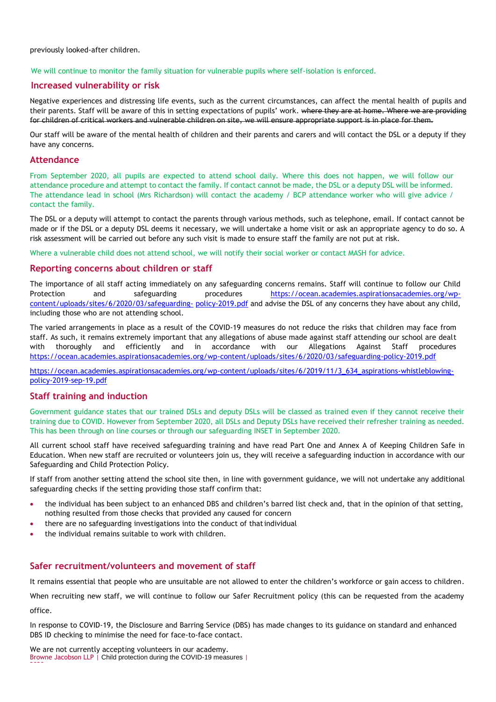previously looked-after children.

#### We will continue to monitor the family situation for vulnerable pupils where self-isolation is enforced.

#### **Increased vulnerability or risk**

Negative experiences and distressing life events, such as the current circumstances, can affect the mental health of pupils and their parents. Staff will be aware of this in setting expectations of pupils' work. where they are at home. Where we are providing for children of critical workers and vulnerable children on site, we will ensure appropriate support is in place for them.

Our staff will be aware of the mental health of [children a](https://safeguarding.network/safeguarding-resources/specific-risks-children-additional-needs/mental-health/)nd their [parents and carers a](https://safeguarding.network/safeguarding-resources/parental-issues/parental-mental-ill-health/)nd will contact the DSL or a deputy if they have any concerns.

#### **Attendance**

From September 2020, all pupils are expected to attend school daily. Where this does not happen, we will follow our attendance procedure and attempt to contact the family. If contact cannot be made, the DSL or a deputy DSL will be informed. The attendance lead in school (Mrs Richardson) will contact the academy / BCP attendance worker who will give advice / contact the family.

The DSL or a deputy will attempt to contact the parents through various methods, such as telephone, email. If contact cannot be made or if the DSL or a deputy DSL deems it necessary, we will undertake a home visit or ask an appropriate agency to do so. A risk assessment will be carried out before any such visit is made to ensure staff the family are not put at risk.

Where a vulnerable child does not attend school, we will notify their social worker or contact MASH for advice.

#### **Reporting concerns about children or staff**

The importance of all staff acting immediately on any safeguarding concerns remains. Staff will continue to follow our Child Protection and safeguarding procedures [https://ocean.academies.aspirationsacademies.org/wp](https://ocean.academies.aspirationsacademies.org/wp-content/uploads/sites/6/2020/03/safeguarding-policy-2019.pdf)[content/uploads/sites/6/2020/03/safeguarding-](https://ocean.academies.aspirationsacademies.org/wp-content/uploads/sites/6/2020/03/safeguarding-policy-2019.pdf) [policy-2019.pdf](https://ocean.academies.aspirationsacademies.org/wp-content/uploads/sites/6/2020/03/safeguarding-policy-2019.pdf) and advise the DSL of any concerns they have about any child, including those who are not attending school.

The varied arrangements in place as a result of the COVID-19 measures do not reduce the risks that children may face from staff. As such, it remains extremely important that any allegations of abuse made against staff attending our school are dealt with thoroughly and efficiently and in accordance with our Allegations Against Staff procedures <https://ocean.academies.aspirationsacademies.org/wp-content/uploads/sites/6/2020/03/safeguarding-policy-2019.pdf>

[https://ocean.academies.aspirationsacademies.org/wp-content/uploads/sites/6/2019/11/3\\_634\\_aspirations-whistleblowing](https://ocean.academies.aspirationsacademies.org/wp-content/uploads/sites/6/2019/11/3_634_aspirations-whistleblowing-policy-2019-sep-19.pdf)[policy-2019-sep-19.pdf](https://ocean.academies.aspirationsacademies.org/wp-content/uploads/sites/6/2019/11/3_634_aspirations-whistleblowing-policy-2019-sep-19.pdf)

#### **Staff training and induction**

Government guidance states that our trained DSLs and deputy DSLs will be classed as trained even if they cannot receive their training due to COVID. However from September 2020, all DSLs and Deputy DSLs have received their refresher training as needed. This has been through on line courses or through our safeguarding INSET in September 2020.

All current school staff have received safeguarding training and have read Part One and Annex A of Keeping Children Safe in Education. When new staff are recruited or volunteers join us, they will receive a safeguarding induction in accordance with our Safeguarding and Child Protection Policy.

If staff from another setting attend the school site then, in line with government guidance, we will not undertake any additional safeguarding checks if the setting providing those staff confirm that:

- the individual has been subject to an enhanced DBS and children's barred list check and, that in the opinion of that setting, nothing resulted from those checks that provided any caused for concern
- there are no safeguarding investigations into the conduct of that individual
- the individual remains suitable to work with children.

#### **Safer recruitment/volunteers and movement of staff**

It remains essential that people who are unsuitable are not allowed to enter the children's workforce or gain access to children.

When recruiting new staff, we will continue to follow our Safer Recruitment policy (this can be requested from the academy office.

In response to COVID-19, the Disclosure and Barring Service (DBS) has made changes to its guidance on standard and enhanced DBS ID checking to minimise the need for face-to-face contact.

Browne Jacobson LLP | Child protection during the COVID-19 measures | 2020 We are not currently accepting volunteers in our academy.